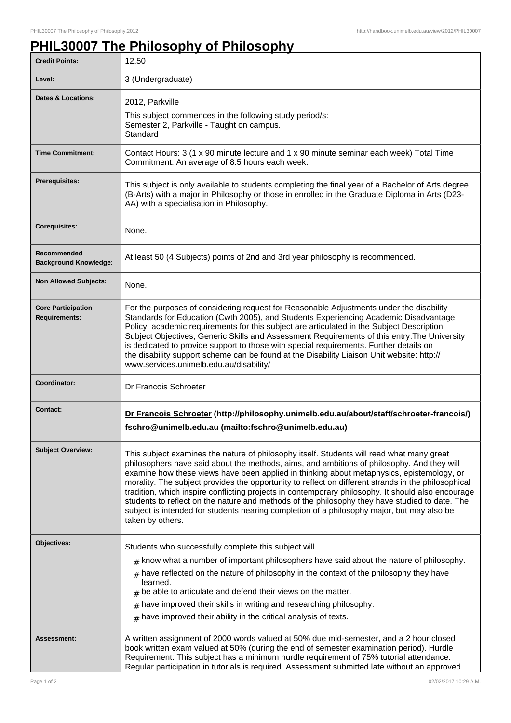## **PHIL30007 The Philosophy of Philosophy**

| <b>Credit Points:</b>                             | 12.50                                                                                                                                                                                                                                                                                                                                                                                                                                                                                                                                                                                                                                                                                                                 |
|---------------------------------------------------|-----------------------------------------------------------------------------------------------------------------------------------------------------------------------------------------------------------------------------------------------------------------------------------------------------------------------------------------------------------------------------------------------------------------------------------------------------------------------------------------------------------------------------------------------------------------------------------------------------------------------------------------------------------------------------------------------------------------------|
| Level:                                            | 3 (Undergraduate)                                                                                                                                                                                                                                                                                                                                                                                                                                                                                                                                                                                                                                                                                                     |
| <b>Dates &amp; Locations:</b>                     | 2012, Parkville<br>This subject commences in the following study period/s:<br>Semester 2, Parkville - Taught on campus.<br>Standard                                                                                                                                                                                                                                                                                                                                                                                                                                                                                                                                                                                   |
| <b>Time Commitment:</b>                           | Contact Hours: 3 (1 x 90 minute lecture and 1 x 90 minute seminar each week) Total Time<br>Commitment: An average of 8.5 hours each week.                                                                                                                                                                                                                                                                                                                                                                                                                                                                                                                                                                             |
| <b>Prerequisites:</b>                             | This subject is only available to students completing the final year of a Bachelor of Arts degree<br>(B-Arts) with a major in Philosophy or those in enrolled in the Graduate Diploma in Arts (D23-<br>AA) with a specialisation in Philosophy.                                                                                                                                                                                                                                                                                                                                                                                                                                                                       |
| <b>Corequisites:</b>                              | None.                                                                                                                                                                                                                                                                                                                                                                                                                                                                                                                                                                                                                                                                                                                 |
| Recommended<br><b>Background Knowledge:</b>       | At least 50 (4 Subjects) points of 2nd and 3rd year philosophy is recommended.                                                                                                                                                                                                                                                                                                                                                                                                                                                                                                                                                                                                                                        |
| <b>Non Allowed Subjects:</b>                      | None.                                                                                                                                                                                                                                                                                                                                                                                                                                                                                                                                                                                                                                                                                                                 |
| <b>Core Participation</b><br><b>Requirements:</b> | For the purposes of considering request for Reasonable Adjustments under the disability<br>Standards for Education (Cwth 2005), and Students Experiencing Academic Disadvantage<br>Policy, academic requirements for this subject are articulated in the Subject Description,<br>Subject Objectives, Generic Skills and Assessment Requirements of this entry. The University<br>is dedicated to provide support to those with special requirements. Further details on<br>the disability support scheme can be found at the Disability Liaison Unit website: http://<br>www.services.unimelb.edu.au/disability/                                                                                                      |
| Coordinator:                                      | Dr Francois Schroeter                                                                                                                                                                                                                                                                                                                                                                                                                                                                                                                                                                                                                                                                                                 |
| <b>Contact:</b>                                   | Dr Francois Schroeter (http://philosophy.unimelb.edu.au/about/staff/schroeter-francois/)<br>fschro@unimelb.edu.au (mailto:fschro@unimelb.edu.au)                                                                                                                                                                                                                                                                                                                                                                                                                                                                                                                                                                      |
| <b>Subject Overview:</b>                          | This subject examines the nature of philosophy itself. Students will read what many great<br>philosophers have said about the methods, aims, and ambitions of philosophy. And they will<br>examine how these views have been applied in thinking about metaphysics, epistemology, or<br>morality. The subject provides the opportunity to reflect on different strands in the philosophical<br>tradition, which inspire conflicting projects in contemporary philosophy. It should also encourage<br>students to reflect on the nature and methods of the philosophy they have studied to date. The<br>subject is intended for students nearing completion of a philosophy major, but may also be<br>taken by others. |
| Objectives:                                       | Students who successfully complete this subject will<br>$#$ know what a number of important philosophers have said about the nature of philosophy.<br>$#$ have reflected on the nature of philosophy in the context of the philosophy they have<br>learned.<br>$_{\#}$ be able to articulate and defend their views on the matter.<br>have improved their skills in writing and researching philosophy.<br>$\#$<br>have improved their ability in the critical analysis of texts.<br>#                                                                                                                                                                                                                                |
| <b>Assessment:</b>                                | A written assignment of 2000 words valued at 50% due mid-semester, and a 2 hour closed<br>book written exam valued at 50% (during the end of semester examination period). Hurdle<br>Requirement: This subject has a minimum hurdle requirement of 75% tutorial attendance.<br>Regular participation in tutorials is required. Assessment submitted late without an approved                                                                                                                                                                                                                                                                                                                                          |